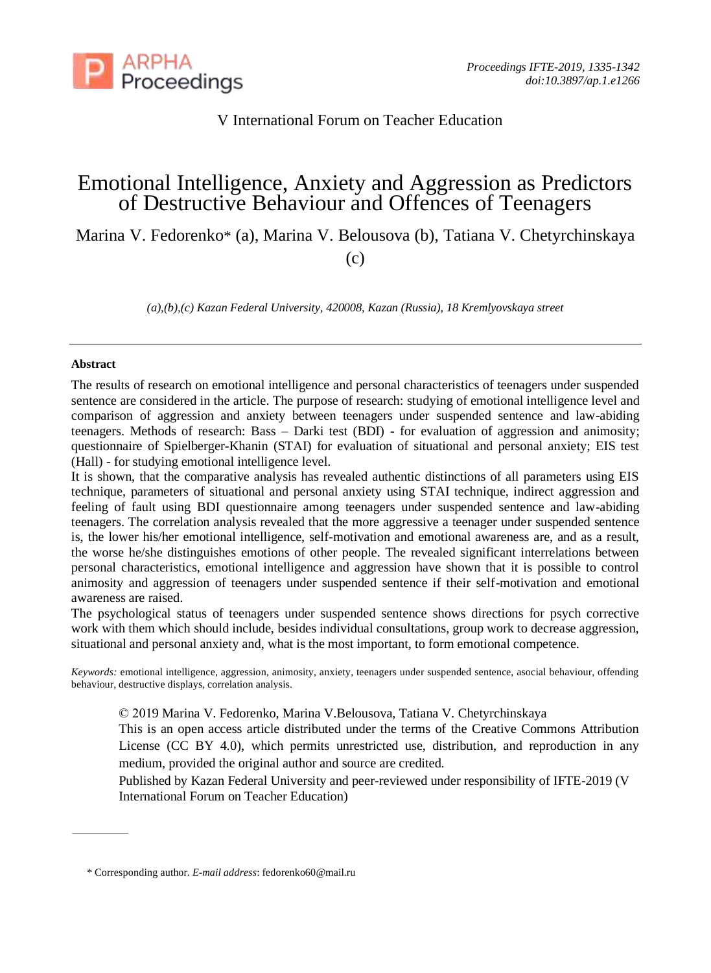

V International Forum on Teacher Education

# Emotional Intelligence, Anxiety and Aggression as Predictors of Destructive Behaviour and Offences of Teenagers

Marina V. Fedorenko\* (a), Marina V. Belousova (b), Tatiana V. Chetyrchinskaya

(c)

*(a),(b),(c) Kazan Federal University, 420008, Kazan (Russia), 18 Kremlyovskaya street*

## **Abstract**

The results of research on emotional intelligence and personal characteristics of teenagers under suspended sentence are considered in the article. The purpose of research: studying of emotional intelligence level and comparison of aggression and anxiety between teenagers under suspended sentence and law-abiding teenagers. Methods of research: Bass – Darki test (BDI) - for evaluation of aggression and animosity; questionnaire of Spielberger-Khanin (STАI) for evaluation of situational and personal anxiety; EIS test (Hall) - for studying emotional intelligence level.

It is shown, that the comparative analysis has revealed authentic distinctions of all parameters using EIS technique, parameters of situational and personal anxiety using STAI technique, indirect aggression and feeling of fault using BDI questionnaire among teenagers under suspended sentence and law-abiding teenagers. The correlation analysis revealed that the more aggressive a teenager under suspended sentence is, the lower his/her emotional intelligence, self-motivation and emotional awareness are, and as a result, the worse he/she distinguishes emotions of other people. The revealed significant interrelations between personal characteristics, emotional intelligence and aggression have shown that it is possible to control animosity and aggression of teenagers under suspended sentence if their self-motivation and emotional awareness are raised.

The psychological status of teenagers under suspended sentence shows directions for psych corrective work with them which should include, besides individual consultations, group work to decrease aggression, situational and personal anxiety and, what is the most important, to form emotional competence.

*Keywords:* emotional intelligence, aggression, animosity, anxiety, teenagers under suspended sentence, asocial behaviour, offending behaviour, destructive displays, correlation analysis.

© 2019 Marina V. Fedorenko, Marina V.Belousova, Tatiana V. Chetyrchinskaya

This is an open access article distributed under the terms of the Creative Commons Attribution License (CC BY 4.0), which permits unrestricted use, distribution, and reproduction in any medium, provided the original author and source are credited.

Published by Kazan Federal University and peer-reviewed under responsibility of IFTE-2019 (V International Forum on Teacher Education)

<sup>\*</sup> Corresponding author. *E-mail address*: fedorenko60@mail.ru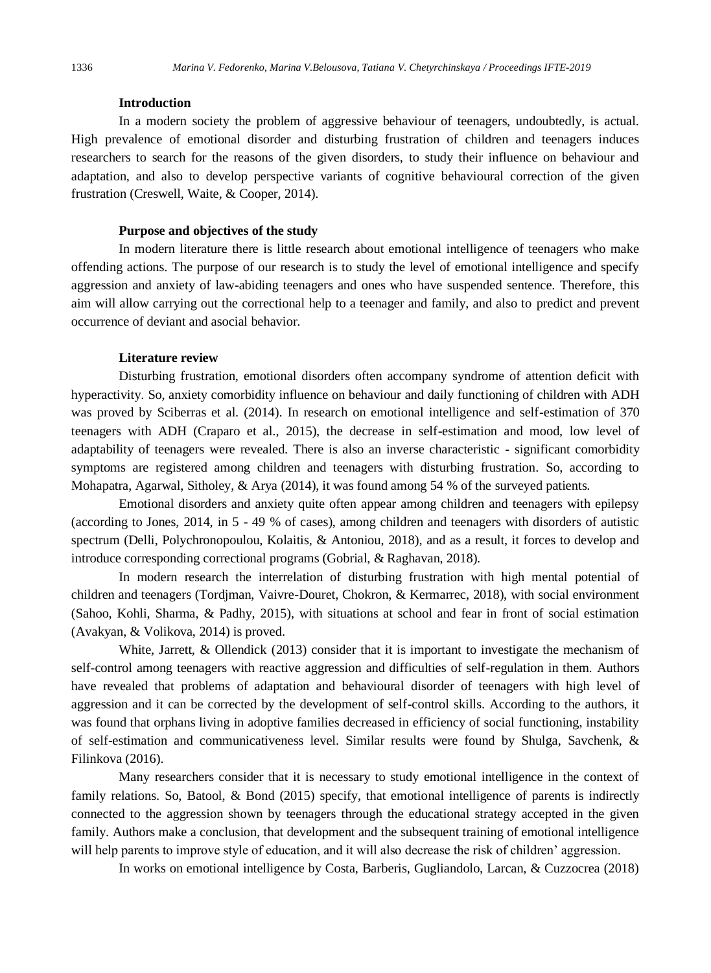### **Introduction**

In a modern society the problem of aggressive behaviour of teenagers, undoubtedly, is actual. High prevalence of emotional disorder and disturbing frustration of children and teenagers induces researchers to search for the reasons of the given disorders, to study their influence on behaviour and adaptation, and also to develop perspective variants of cognitive behavioural correction of the given frustration (Creswell, Waite, & Cooper, 2014).

### **Purpose and objectives of the study**

In modern literature there is little research about emotional intelligence of teenagers who make offending actions. The purpose of our research is to study the level of emotional intelligence and specify aggression and anxiety of law-abiding teenagers and ones who have suspended sentence. Therefore, this aim will allow carrying out the correctional help to a teenager and family, and also to predict and prevent occurrence of deviant and asocial behavior.

#### **Literature review**

Disturbing frustration, emotional disorders often accompany syndrome of attention deficit with hyperactivity. So, anxiety comorbidity influence on behaviour and daily functioning of children with ADH was proved by Sciberras et al. (2014). In research on emotional intelligence and self-estimation of 370 teenagers with ADH (Craparo et al., 2015), the decrease in self-estimation and mood, low level of adaptability of teenagers were revealed. There is also an inverse characteristic - significant comorbidity symptoms are registered among children and teenagers with disturbing frustration. So, according to Mohapatra, Agarwal, Sitholey, & Arya (2014), it was found among 54 % of the surveyed patients.

Emotional disorders and anxiety quite often appear among children and teenagers with epilepsy (according to Jones, 2014, in 5 - 49 % of cases), among children and teenagers with disorders of autistic spectrum (Delli, Polychronopoulou, Kolaitis, & Antoniou, 2018), and as a result, it forces to develop and introduce corresponding correctional programs (Gobrial, & Raghavan, 2018).

In modern research the interrelation of disturbing frustration with high mental potential of children and teenagers (Tordjman, Vaivre-Douret, Chokron, & Kermarrec, 2018), with social environment (Sahoo, Kohli, Sharma, & Padhy, 2015), with situations at school and fear in front of social estimation (Avakyan, & Volikova, 2014) is proved.

White, Jarrett, & Ollendick (2013) consider that it is important to investigate the mechanism of self-control among teenagers with reactive aggression and difficulties of self-regulation in them. Authors have revealed that problems of adaptation and behavioural disorder of teenagers with high level of aggression and it can be corrected by the development of self-control skills. According to the authors, it was found that orphans living in adoptive families decreased in efficiency of social functioning, instability of self-estimation and communicativeness level. Similar results were found by Shulga, Savchenk, & Filinkova (2016).

Many researchers consider that it is necessary to study emotional intelligence in the context of family relations. So, Batool, & Bond (2015) specify, that emotional intelligence of parents is indirectly connected to the aggression shown by teenagers through the educational strategy accepted in the given family. Authors make a conclusion, that development and the subsequent training of emotional intelligence will help parents to improve style of education, and it will also decrease the risk of children' aggression.

In works on emotional intelligence by Costa, Barberis, Gugliandolo, Larcan, & Cuzzocrea (2018)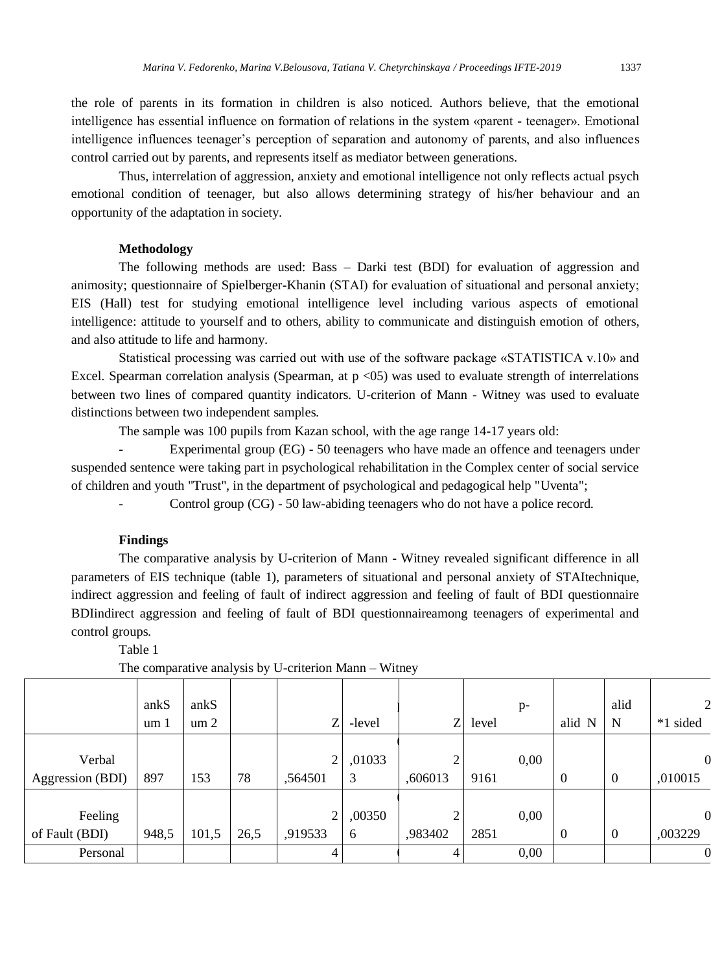the role of parents in its formation in children is also noticed. Authors believe, that the emotional intelligence has essential influence on formation of relations in the system «parent - teenager». Emotional intelligence influences teenager's perception of separation and autonomy of parents, and also influences control carried out by parents, and represents itself as mediator between generations.

Thus, interrelation of aggression, anxiety and emotional intelligence not only reflects actual psych emotional condition of teenager, but also allows determining strategy of his/her behaviour and an opportunity of the adaptation in society.

# **Methodology**

The following methods are used: Bass – Darki test (BDI) for evaluation of aggression and animosity; questionnaire of Spielberger-Khanin (STАI) for evaluation of situational and personal anxiety; EIS (Hall) test for studying emotional intelligence level including various aspects of emotional intelligence: attitude to yourself and to others, ability to communicate and distinguish emotion of others, and also attitude to life and harmony.

Statistical processing was carried out with use of the software package «STATISTICA v.10» and Excel. Spearman correlation analysis (Spearman, at  $p \lt 05$ ) was used to evaluate strength of interrelations between two lines of compared quantity indicators. U-criterion of Mann - Witney was used to evaluate distinctions between two independent samples.

The sample was 100 pupils from Kazan school, with the age range 14-17 years old:

Experimental group (EG) - 50 teenagers who have made an offence and teenagers under suspended sentence were taking part in psychological rehabilitation in the Complex center of social service of children and youth "Trust", in the department of psychological and pedagogical help "Uventa";

Control group (CG) - 50 law-abiding teenagers who do not have a police record.

# **Findings**

The comparative analysis by U-criterion of Mann - Witney revealed significant difference in all parameters of EIS technique (table 1), parameters of situational and personal anxiety of STAItechnique, indirect aggression and feeling of fault of indirect aggression and feeling of fault of BDI questionnaire BDIindirect aggression and feeling of fault of BDI questionnaireamong teenagers of experimental and control groups.

Table 1

|                            | ankS<br>um 1 | ankS<br>um <sub>2</sub> |      | ZI                        | -level      | Ζ            | level | p-   | alid N         | alid<br>N        | $\mathcal{P}$<br>*1 sided |
|----------------------------|--------------|-------------------------|------|---------------------------|-------------|--------------|-------|------|----------------|------------------|---------------------------|
| Verbal<br>Aggression (BDI) | 897          | 153                     | 78   | $\overline{2}$<br>,564501 | ,01033<br>3 | ◠<br>,606013 | 9161  | 0,00 | $\overline{0}$ | $\boldsymbol{0}$ | $\mathbf 0$<br>,010015    |
| Feeling<br>of Fault (BDI)  | 948,5        | 101,5                   | 26,5 | $\overline{2}$<br>,919533 | ,00350<br>6 | 2<br>,983402 | 2851  | 0,00 | $\overline{0}$ | $\boldsymbol{0}$ | $\mathbf 0$<br>,003229    |
| Personal                   |              |                         |      | 4                         |             | 4            |       | 0,00 |                |                  | 0                         |

The comparative analysis by U-criterion Mann – Witney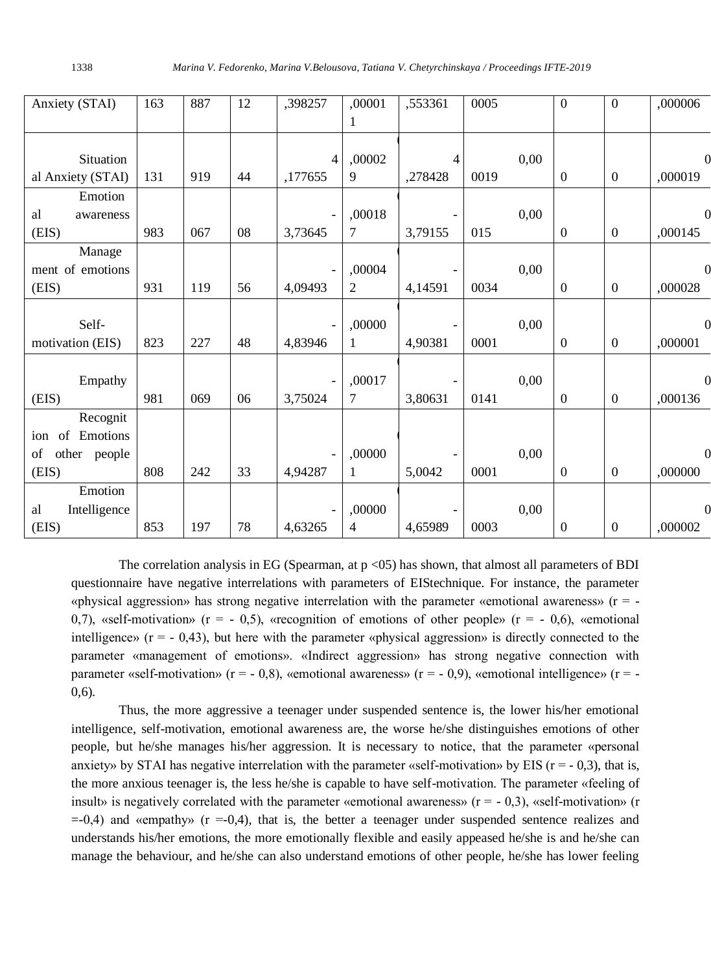| Anxiety (STAI)                | 163 | 887 | 12 | ,398257 | ,00001<br>1      | ,553361        | 0005 | $\Omega$         | $\mathbf{0}$     | ,000006      |
|-------------------------------|-----|-----|----|---------|------------------|----------------|------|------------------|------------------|--------------|
| Situation                     |     |     |    | 4       | ,00002           | $\overline{4}$ |      | 0,00             |                  | $\mathbf 0$  |
| al Anxiety (STAI)             | 131 | 919 | 44 | ,177655 | 9                | ,278428        | 0019 | $\theta$         | $\boldsymbol{0}$ | ,000019      |
| Emotion                       |     |     |    |         |                  |                |      |                  |                  |              |
| al<br>awareness<br>(EIS)      | 983 | 067 | 08 | 3,73645 | ,00018<br>$\tau$ | 3,79155        | 015  | 0,00<br>$\Omega$ | $\overline{0}$   | 0<br>,000145 |
| Manage                        |     |     |    |         |                  |                |      |                  |                  |              |
| ment of emotions              |     |     |    |         | ,00004           |                |      | 0,00             |                  | $\mathbf 0$  |
| (EIS)                         | 931 | 119 | 56 | 4,09493 | $\overline{2}$   | 4,14591        | 0034 | $\Omega$         | $\boldsymbol{0}$ | ,000028      |
| Self-                         |     |     |    |         | ,00000           |                |      | 0,00             |                  | $\Omega$     |
| motivation (EIS)              | 823 | 227 | 48 | 4,83946 | 1                | 4,90381        | 0001 | $\boldsymbol{0}$ | $\boldsymbol{0}$ | ,000001      |
| Empathy                       |     |     |    |         | ,00017           |                |      | 0,00             |                  | $\Omega$     |
| (EIS)                         | 981 | 069 | 06 | 3,75024 | $\tau$           | 3,80631        | 0141 | $\boldsymbol{0}$ | $\boldsymbol{0}$ | ,000136      |
| Recognit                      |     |     |    |         |                  |                |      |                  |                  |              |
| Emotions<br>of<br>ion         |     |     |    |         |                  |                |      |                  |                  |              |
| other people<br>of            |     |     |    |         | ,00000           |                |      | 0,00             |                  | $\mathbf 0$  |
| (EIS)                         | 808 | 242 | 33 | 4,94287 | $\mathbf{1}$     | 5,0042         | 0001 | $\theta$         | $\boldsymbol{0}$ | ,000000      |
| Emotion<br>Intelligence<br>al |     |     |    |         | ,00000           |                |      | 0,00             |                  | 0            |
| (EIS)                         | 853 | 197 | 78 | 4,63265 | $\overline{4}$   | 4,65989        | 0003 | $\theta$         | $\boldsymbol{0}$ | ,000002      |

The correlation analysis in EG (Spearman, at  $p \le 0$ 5) has shown, that almost all parameters of BDI questionnaire have negative interrelations with parameters of EIStechnique. For instance, the parameter «physical aggression» has strong negative interrelation with the parameter «emotional awareness» ( $r = -$ 0,7), «self-motivation» ( $r = -0.5$ ), «recognition of emotions of other people» ( $r = -0.6$ ), «emotional intelligence»  $(r = -0.43)$ , but here with the parameter «physical aggression» is directly connected to the parameter «management of emotions». «Indirect aggression» has strong negative connection with parameter «self-motivation» ( $r = -0.8$ ), «emotional awareness» ( $r = -0.9$ ), «emotional intelligence» ( $r = -0.9$ ) 0,6).

Thus, the more aggressive a teenager under suspended sentence is, the lower his/her emotional intelligence, self-motivation, emotional awareness are, the worse he/she distinguishes emotions of other people, but he/she manages his/her aggression. It is necessary to notice, that the parameter «personal anxiety» by STAI has negative interrelation with the parameter «self-motivation» by EIS ( $r = -0.3$ ), that is, the more anxious teenager is, the less he/she is capable to have self-motivation. The parameter «feeling of insult» is negatively correlated with the parameter «emotional awareness» ( $r = -0.3$ ), «self-motivation» (r  $=0.4$ ) and «empathy» ( $r = -0.4$ ), that is, the better a teenager under suspended sentence realizes and understands his/her emotions, the more emotionally flexible and easily appeased he/she is and he/she can manage the behaviour, and he/she can also understand emotions of other people, he/she has lower feeling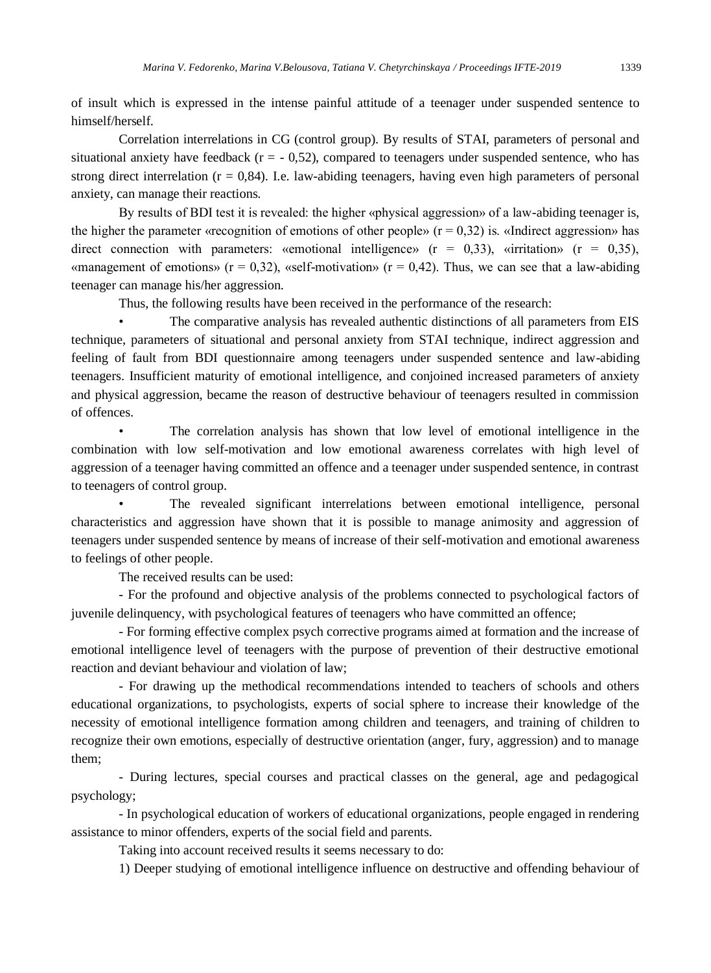of insult which is expressed in the intense painful attitude of a teenager under suspended sentence to himself/herself.

Correlation interrelations in CG (control group). By results of STAI, parameters of personal and situational anxiety have feedback  $(r = -0.52)$ , compared to teenagers under suspended sentence, who has strong direct interrelation  $(r = 0.84)$ . I.e. law-abiding teenagers, having even high parameters of personal anxiety, can manage their reactions.

By results of BDI test it is revealed: the higher «physical aggression» of a law-abiding teenager is, the higher the parameter «recognition of emotions of other people» ( $r = 0.32$ ) is. «Indirect aggression» has direct connection with parameters: «emotional intelligence» ( $r = 0.33$ ), «irritation» ( $r = 0.35$ ), «management of emotions» ( $r = 0.32$ ), «self-motivation» ( $r = 0.42$ ). Thus, we can see that a law-abiding teenager can manage his/her aggression.

Thus, the following results have been received in the performance of the research:

• The comparative analysis has revealed authentic distinctions of all parameters from EIS technique, parameters of situational and personal anxiety from STAI technique, indirect aggression and feeling of fault from BDI questionnaire among teenagers under suspended sentence and law-abiding teenagers. Insufficient maturity of emotional intelligence, and conjoined increased parameters of anxiety and physical aggression, became the reason of destructive behaviour of teenagers resulted in commission of offences.

The correlation analysis has shown that low level of emotional intelligence in the combination with low self-motivation and low emotional awareness correlates with high level of aggression of a teenager having committed an offence and a teenager under suspended sentence, in contrast to teenagers of control group.

The revealed significant interrelations between emotional intelligence, personal characteristics and aggression have shown that it is possible to manage animosity and aggression of teenagers under suspended sentence by means of increase of their self-motivation and emotional awareness to feelings of other people.

The received results can be used:

- For the profound and objective analysis of the problems connected to psychological factors of juvenile delinquency, with psychological features of teenagers who have committed an offence;

- For forming effective complex psych corrective programs aimed at formation and the increase of emotional intelligence level of teenagers with the purpose of prevention of their destructive emotional reaction and deviant behaviour and violation of law;

- For drawing up the methodical recommendations intended to teachers of schools and others educational organizations, to psychologists, experts of social sphere to increase their knowledge of the necessity of emotional intelligence formation among children and teenagers, and training of children to recognize their own emotions, especially of destructive orientation (anger, fury, aggression) and to manage them;

- During lectures, special courses and practical classes on the general, age and pedagogical psychology;

- In psychological education of workers of educational organizations, people engaged in rendering assistance to minor offenders, experts of the social field and parents.

Taking into account received results it seems necessary to do:

1) Deeper studying of emotional intelligence influence on destructive and offending behaviour of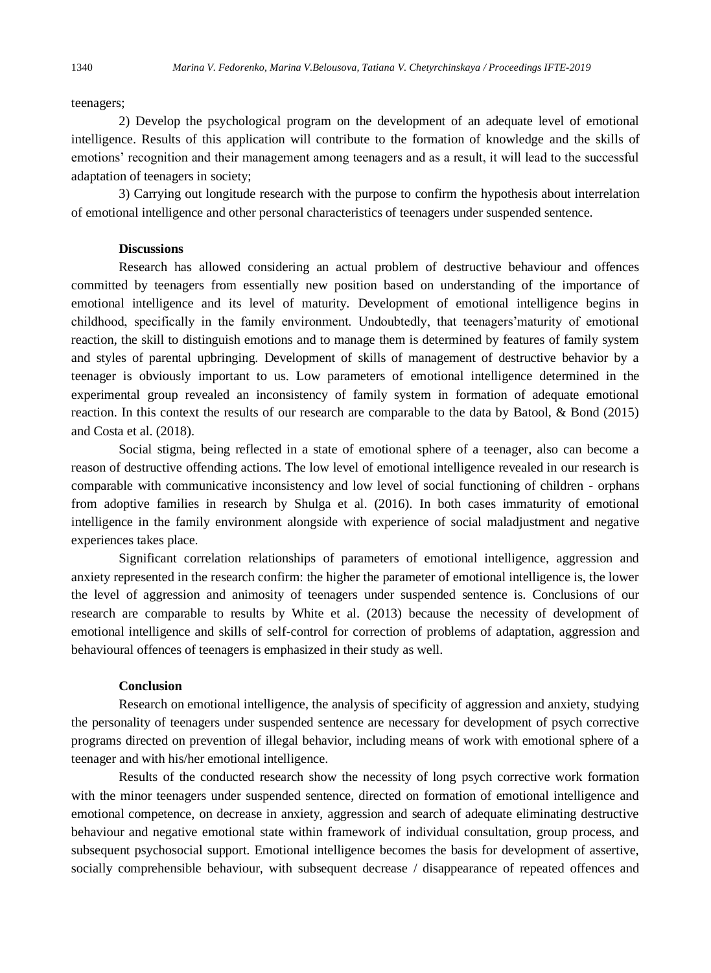#### teenagers;

2) Develop the psychological program on the development of an adequate level of emotional intelligence. Results of this application will contribute to the formation of knowledge and the skills of emotions' recognition and their management among teenagers and as a result, it will lead to the successful adaptation of teenagers in society;

3) Carrying out longitude research with the purpose to confirm the hypothesis about interrelation of emotional intelligence and other personal characteristics of teenagers under suspended sentence.

# **Discussions**

Research has allowed considering an actual problem of destructive behaviour and offences committed by teenagers from essentially new position based on understanding of the importance of emotional intelligence and its level of maturity. Development of emotional intelligence begins in childhood, specifically in the family environment. Undoubtedly, that teenagers'maturity of emotional reaction, the skill to distinguish emotions and to manage them is determined by features of family system and styles of parental upbringing. Development of skills of management of destructive behavior by a teenager is obviously important to us. Low parameters of emotional intelligence determined in the experimental group revealed an inconsistency of family system in formation of adequate emotional reaction. In this context the results of our research are comparable to the data by Batool, & Bond (2015) and Costa et al. (2018).

Social stigma, being reflected in a state of emotional sphere of a teenager, also can become a reason of destructive offending actions. The low level of emotional intelligence revealed in our research is comparable with communicative inconsistency and low level of social functioning of children - orphans from adoptive families in research by Shulga et al. (2016). In both cases immaturity of emotional intelligence in the family environment alongside with experience of social maladjustment and negative experiences takes place.

Significant correlation relationships of parameters of emotional intelligence, aggression and anxiety represented in the research confirm: the higher the parameter of emotional intelligence is, the lower the level of aggression and animosity of teenagers under suspended sentence is. Conclusions of our research are comparable to results by White et al. (2013) because the necessity of development of emotional intelligence and skills of self-control for correction of problems of adaptation, aggression and behavioural offences of teenagers is emphasized in their study as well.

## **Conclusion**

Research on emotional intelligence, the analysis of specificity of aggression and anxiety, studying the personality of teenagers under suspended sentence are necessary for development of psych corrective programs directed on prevention of illegal behavior, including means of work with emotional sphere of a teenager and with his/her emotional intelligence.

Results of the conducted research show the necessity of long psych corrective work formation with the minor teenagers under suspended sentence, directed on formation of emotional intelligence and emotional competence, on decrease in anxiety, aggression and search of adequate eliminating destructive behaviour and negative emotional state within framework of individual consultation, group process, and subsequent psychosocial support. Emotional intelligence becomes the basis for development of assertive, socially comprehensible behaviour, with subsequent decrease / disappearance of repeated offences and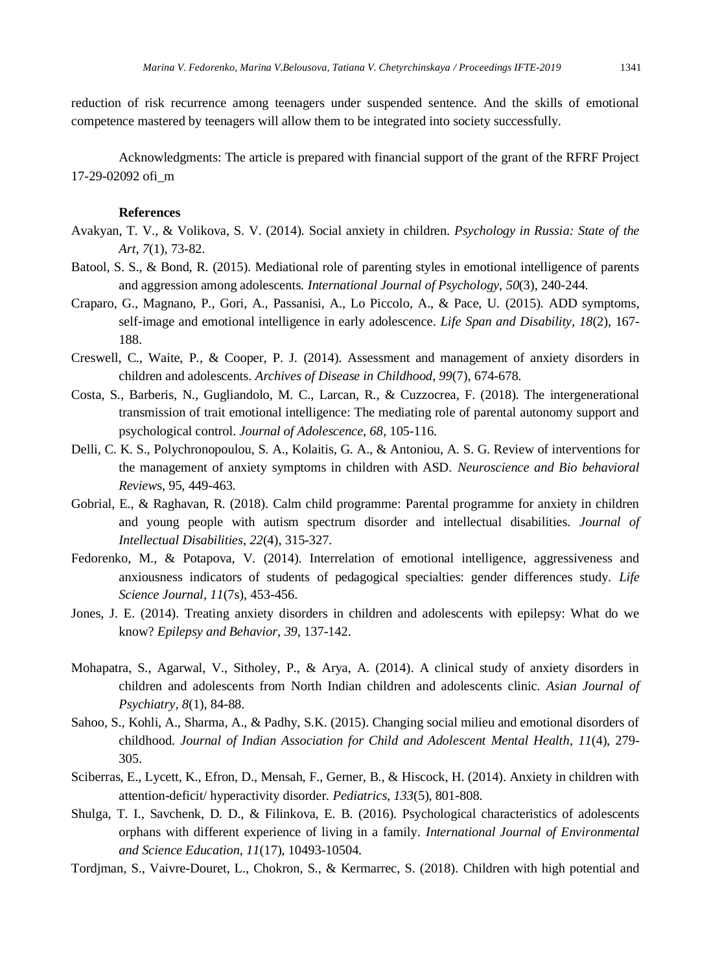reduction of risk recurrence among teenagers under suspended sentence. And the skills of emotional competence mastered by teenagers will allow them to be integrated into society successfully.

Acknowledgments: The article is prepared with financial support of the grant of the RFRF Project 17-29-02092 ofi\_m

#### **References**

- Avakyan, T. V., & Volikova, S. V. (2014). Social anxiety in children. *Psychology in Russia: State of the Art*, *7*(1), 73-82.
- Batool, S. S., & Bond, R. (2015). Mediational role of parenting styles in emotional intelligence of parents and aggression among adolescents. *International Journal of Psychology*, *50*(3), 240-244.
- Craparo, G., Magnano, P., Gori, A., Passanisi, A., Lo Piccolo, A., & Pace, U. (2015). ADD symptoms, self-image and emotional intelligence in early adolescence. *Life Span and Disability, 18*(2), 167- 188.
- Creswell, C., Waite, P., & Cooper, P. J. (2014). Assessment and management of anxiety disorders in children and adolescents. *Archives of Disease in Childhood*, *99*(7), 674-678.
- Costa, S., Barberis, N., Gugliandolo, M. C., Larcan, R., & Cuzzocrea, F. (2018). The intergenerational transmission of trait emotional intelligence: The mediating role of parental autonomy support and psychological control. *Journal of Adolescence, 68*, 105-116.
- Delli, C. K. S., Polychronopoulou, S. A., Kolaitis, G. A., & Antoniou, A. S. G. Review of interventions for the management of anxiety symptoms in children with ASD. *Neuroscience and Bio behavioral Review*s, 95, 449-463.
- Gobrial, E., & Raghavan, R. (2018). Calm child programme: Parental programme for anxiety in children and young people with autism spectrum disorder and intellectual disabilities. *Journal of Intellectual Disabilities, 22*(4), 315-327.
- Fedorenko, M., & Potapova, V. (2014). Interrelation of emotional intelligence, aggressiveness and anxiousness indicators of students of pedagogical specialties: gender differences study. *Life Science Journal, 11*(7s), 453-456.
- Jones, J. E. (2014). Treating anxiety disorders in children and adolescents with epilepsy: What do we know? *Epilepsy and Behavior*, *39*, 137-142.
- Mohapatra, S., Agarwal, V., Sitholey, P., & Arya, A. (2014). A clinical study of anxiety disorders in children and adolescents from North Indian children and adolescents clinic. *Asian Journal of Psychiatry, 8*(1), 84-88.
- Sahoo, S., Kohli, A., Sharma, A., & Padhy, S.K. (2015). Changing social milieu and emotional disorders of childhood. *Journal of Indian Association for Child and Adolescent Mental Health*, *11*(4), 279- 305.
- Sciberras, E., Lycett, K., Efron, D., Mensah, F., Gerner, B., & Hiscock, H. (2014). Anxiety in children with attention-deficit/ hyperactivity disorder. *Pediatrics*, *133*(5), 801-808.
- Shulga, T. I., Savchenk, D. D., & Filinkova, E. B. (2016). Psychological characteristics of adolescents orphans with different experience of living in a family. *International Journal of Environmental and Science Education*, *11*(17), 10493-10504.
- Tordjman, S., Vaivre-Douret, L., Chokron, S., & Kermarrec, S. (2018). Children with high potential and